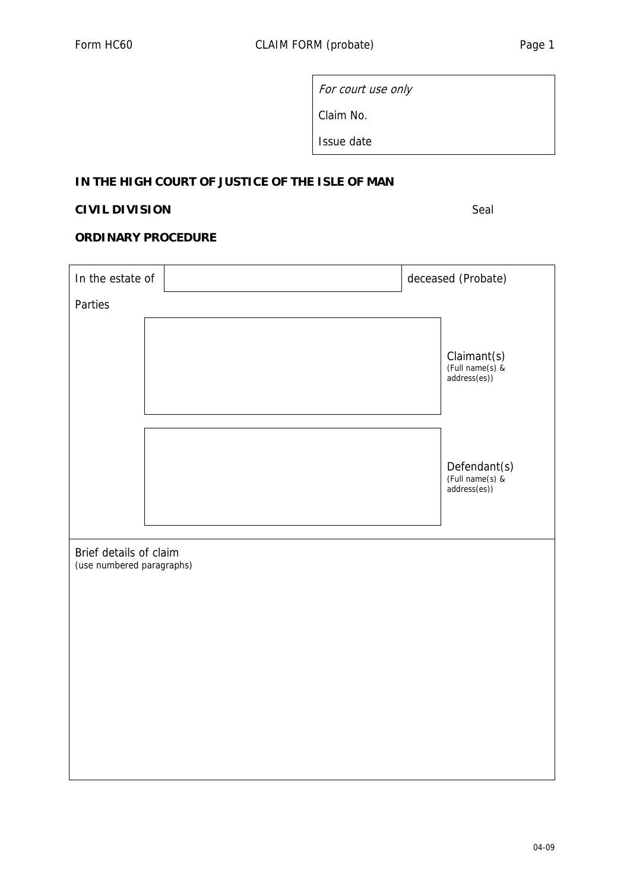For court use only

Claim No.

Issue date

## **IN THE HIGH COURT OF JUSTICE OF THE ISLE OF MAN**

## **CIVIL DIVISION** Seal

## **ORDINARY PROCEDURE**

| In the estate of                                    |  | deceased (Probate) |                                                 |  |
|-----------------------------------------------------|--|--------------------|-------------------------------------------------|--|
| Parties                                             |  |                    |                                                 |  |
|                                                     |  |                    | Claimant(s)<br>(Full name(s) &<br>address(es))  |  |
|                                                     |  |                    | Defendant(s)<br>(Full name(s) &<br>address(es)) |  |
| Brief details of claim<br>(use numbered paragraphs) |  |                    |                                                 |  |
|                                                     |  |                    |                                                 |  |
|                                                     |  |                    |                                                 |  |
|                                                     |  |                    |                                                 |  |
|                                                     |  |                    |                                                 |  |
|                                                     |  |                    |                                                 |  |